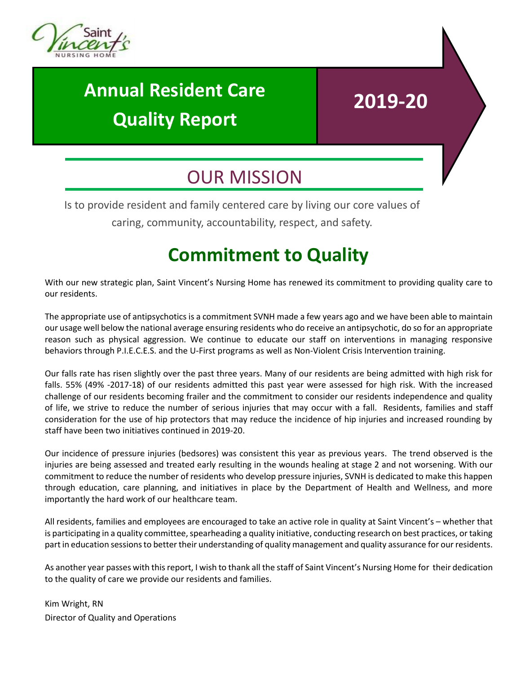

## **Annual Resident Care Quality Report**

# **2019-20**

### OUR MISSION

Is to provide resident and family centered care by living our core values of

caring, community, accountability, respect, and safety.

### **Commitment to Quality**

With our new strategic plan, Saint Vincent's Nursing Home has renewed its commitment to providing quality care to our residents.

The appropriate use of antipsychotics is a commitment SVNH made a few years ago and we have been able to maintain our usage well below the national average ensuring residents who do receive an antipsychotic, do so for an appropriate reason such as physical aggression. We continue to educate our staff on interventions in managing responsive behaviors through P.I.E.C.E.S. and the U-First programs as well as Non-Violent Crisis Intervention training.

Our falls rate has risen slightly over the past three years. Many of our residents are being admitted with high risk for falls. 55% (49% -2017-18) of our residents admitted this past year were assessed for high risk. With the increased challenge of our residents becoming frailer and the commitment to consider our residents independence and quality of life, we strive to reduce the number of serious injuries that may occur with a fall. Residents, families and staff consideration for the use of hip protectors that may reduce the incidence of hip injuries and increased rounding by staff have been two initiatives continued in 2019-20.

Our incidence of pressure injuries (bedsores) was consistent this year as previous years. The trend observed is the injuries are being assessed and treated early resulting in the wounds healing at stage 2 and not worsening. With our commitment to reduce the number of residents who develop pressure injuries, SVNH is dedicated to make this happen through education, care planning, and initiatives in place by the Department of Health and Wellness, and more importantly the hard work of our healthcare team.

All residents, families and employees are encouraged to take an active role in quality at Saint Vincent's – whether that is participating in a quality committee, spearheading a quality initiative, conducting research on best practices, or taking part in education sessions to better their understanding of quality management and quality assurance for our residents.

As another year passes with this report, I wish to thank all the staff of Saint Vincent's Nursing Home for their dedication to the quality of care we provide our residents and families.

Kim Wright, RN Director of Quality and Operations